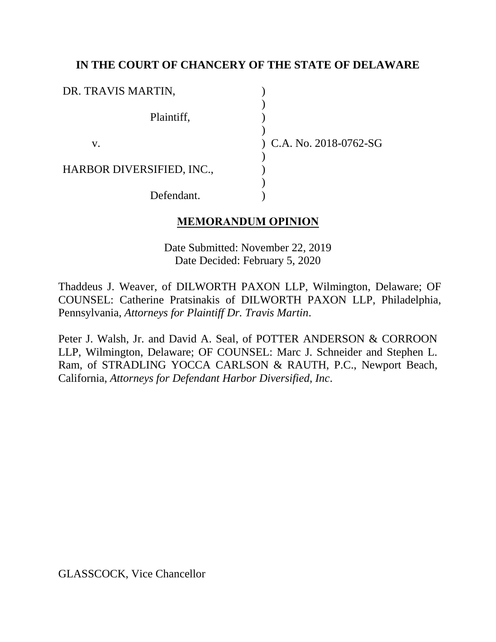## **IN THE COURT OF CHANCERY OF THE STATE OF DELAWARE**

| DR. TRAVIS MARTIN,        |                           |
|---------------------------|---------------------------|
| Plaintiff,                |                           |
| V.                        | $(C.A. No. 2018-0762-SG)$ |
| HARBOR DIVERSIFIED, INC., |                           |
| Defendant.                |                           |

## **MEMORANDUM OPINION**

Date Submitted: November 22, 2019 Date Decided: February 5, 2020

Thaddeus J. Weaver, of DILWORTH PAXON LLP, Wilmington, Delaware; OF COUNSEL: Catherine Pratsinakis of DILWORTH PAXON LLP, Philadelphia, Pennsylvania, *Attorneys for Plaintiff Dr. Travis Martin*.

Peter J. Walsh, Jr. and David A. Seal, of POTTER ANDERSON & CORROON LLP, Wilmington, Delaware; OF COUNSEL: Marc J. Schneider and Stephen L. Ram, of STRADLING YOCCA CARLSON & RAUTH, P.C., Newport Beach, California, *Attorneys for Defendant Harbor Diversified, Inc*.

GLASSCOCK, Vice Chancellor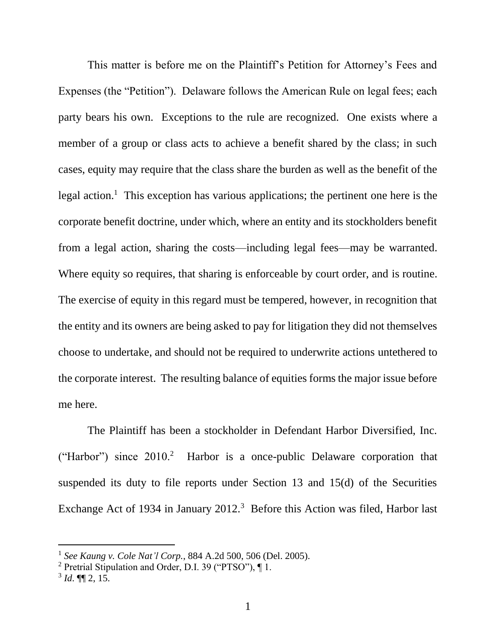This matter is before me on the Plaintiff's Petition for Attorney's Fees and Expenses (the "Petition"). Delaware follows the American Rule on legal fees; each party bears his own. Exceptions to the rule are recognized. One exists where a member of a group or class acts to achieve a benefit shared by the class; in such cases, equity may require that the class share the burden as well as the benefit of the legal action.<sup>1</sup> This exception has various applications; the pertinent one here is the corporate benefit doctrine, under which, where an entity and its stockholders benefit from a legal action, sharing the costs—including legal fees—may be warranted. Where equity so requires, that sharing is enforceable by court order, and is routine. The exercise of equity in this regard must be tempered, however, in recognition that the entity and its owners are being asked to pay for litigation they did not themselves choose to undertake, and should not be required to underwrite actions untethered to the corporate interest. The resulting balance of equities forms the major issue before me here.

The Plaintiff has been a stockholder in Defendant Harbor Diversified, Inc. ("Harbor") since  $2010<sup>2</sup>$  Harbor is a once-public Delaware corporation that suspended its duty to file reports under Section 13 and 15(d) of the Securities Exchange Act of 1934 in January  $2012<sup>3</sup>$  Before this Action was filed, Harbor last

<sup>1</sup> *See Kaung v. Cole Nat'l Corp.*, 884 A.2d 500, 506 (Del. 2005).

<sup>2</sup> Pretrial Stipulation and Order, D.I. 39 ("PTSO"), ¶ 1.

<sup>3</sup> *Id*. ¶¶ 2, 15.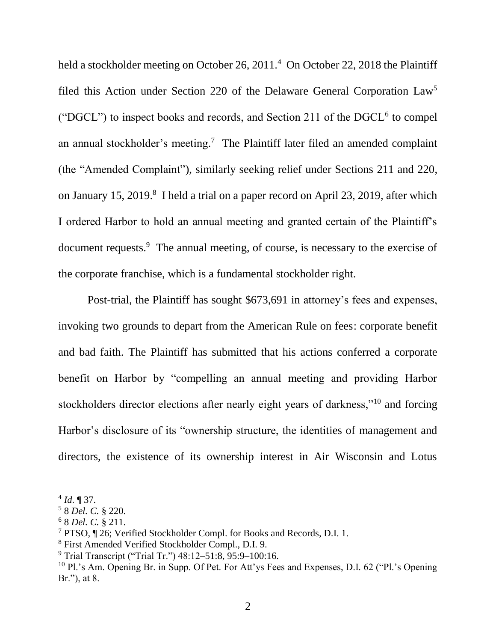held a stockholder meeting on October 26, 2011.<sup>4</sup> On October 22, 2018 the Plaintiff filed this Action under Section 220 of the Delaware General Corporation Law<sup>5</sup> ("DGCL") to inspect books and records, and Section 211 of the  $DGCL<sup>6</sup>$  to compel an annual stockholder's meeting.<sup>7</sup> The Plaintiff later filed an amended complaint (the "Amended Complaint"), similarly seeking relief under Sections 211 and 220, on January 15, 2019.<sup>8</sup> I held a trial on a paper record on April 23, 2019, after which I ordered Harbor to hold an annual meeting and granted certain of the Plaintiff's document requests.<sup>9</sup> The annual meeting, of course, is necessary to the exercise of the corporate franchise, which is a fundamental stockholder right.

Post-trial, the Plaintiff has sought \$673,691 in attorney's fees and expenses, invoking two grounds to depart from the American Rule on fees: corporate benefit and bad faith. The Plaintiff has submitted that his actions conferred a corporate benefit on Harbor by "compelling an annual meeting and providing Harbor stockholders director elections after nearly eight years of darkness,"<sup>10</sup> and forcing Harbor's disclosure of its "ownership structure, the identities of management and directors, the existence of its ownership interest in Air Wisconsin and Lotus

 $4$  *Id*.  $\sqrt{ }$  37.

<sup>5</sup> 8 *Del. C.* § 220.

<sup>6</sup> 8 *Del. C.* § 211.

<sup>7</sup> PTSO, ¶ 26; Verified Stockholder Compl. for Books and Records, D.I. 1.

<sup>8</sup> First Amended Verified Stockholder Compl., D.I. 9.

<sup>9</sup> Trial Transcript ("Trial Tr.") 48:12–51:8, 95:9–100:16.

 $10$  Pl.'s Am. Opening Br. in Supp. Of Pet. For Att'ys Fees and Expenses, D.I. 62 ("Pl.'s Opening Br."), at 8.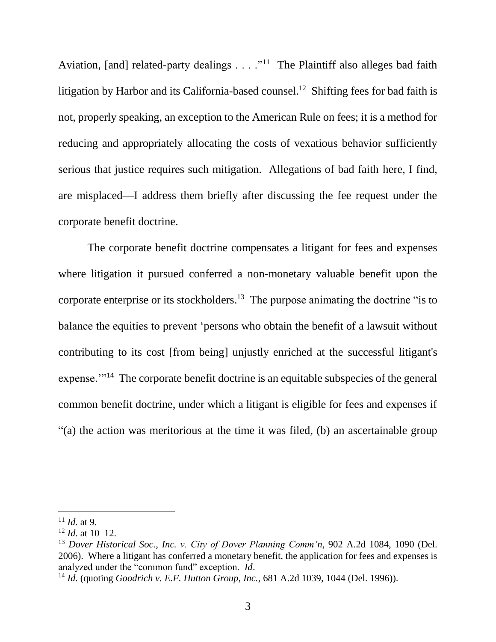Aviation, [and] related-party dealings  $\dots$ ."<sup>11</sup> The Plaintiff also alleges bad faith litigation by Harbor and its California-based counsel.<sup>12</sup> Shifting fees for bad faith is not, properly speaking, an exception to the American Rule on fees; it is a method for reducing and appropriately allocating the costs of vexatious behavior sufficiently serious that justice requires such mitigation. Allegations of bad faith here, I find, are misplaced—I address them briefly after discussing the fee request under the corporate benefit doctrine.

The corporate benefit doctrine compensates a litigant for fees and expenses where litigation it pursued conferred a non-monetary valuable benefit upon the corporate enterprise or its stockholders.<sup>13</sup> The purpose animating the doctrine "is to balance the equities to prevent 'persons who obtain the benefit of a lawsuit without contributing to its cost [from being] unjustly enriched at the successful litigant's expense."<sup>14</sup> The corporate benefit doctrine is an equitable subspecies of the general common benefit doctrine, under which a litigant is eligible for fees and expenses if "(a) the action was meritorious at the time it was filed, (b) an ascertainable group

 $11$  *Id.* at 9.

 $12$  *Id.* at 10–12.

<sup>13</sup> *Dover Historical Soc., Inc. v. City of Dover Planning Comm'n*, 902 A.2d 1084, 1090 (Del. 2006). Where a litigant has conferred a monetary benefit, the application for fees and expenses is analyzed under the "common fund" exception. *Id*.

<sup>14</sup> *Id*. (quoting *Goodrich v. E.F. Hutton Group, Inc.*, 681 A.2d 1039, 1044 (Del. 1996)).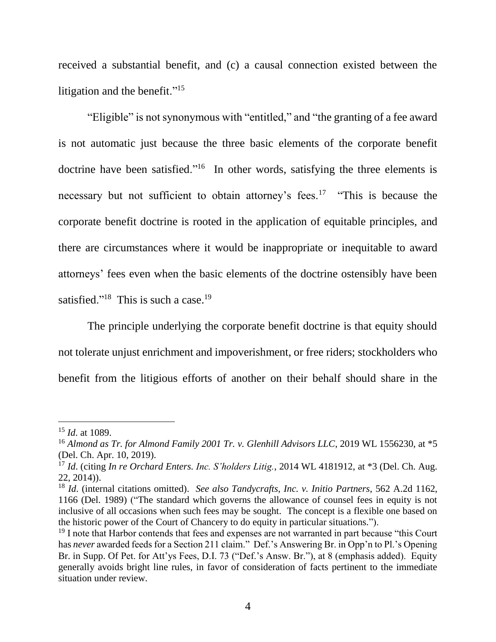received a substantial benefit, and (c) a causal connection existed between the litigation and the benefit."<sup>15</sup>

"Eligible" is not synonymous with "entitled," and "the granting of a fee award is not automatic just because the three basic elements of the corporate benefit doctrine have been satisfied."<sup>16</sup> In other words, satisfying the three elements is necessary but not sufficient to obtain attorney's fees.<sup>17</sup> "This is because the corporate benefit doctrine is rooted in the application of equitable principles, and there are circumstances where it would be inappropriate or inequitable to award attorneys' fees even when the basic elements of the doctrine ostensibly have been satisfied."<sup>18</sup> This is such a case.<sup>19</sup>

The principle underlying the corporate benefit doctrine is that equity should not tolerate unjust enrichment and impoverishment, or free riders; stockholders who benefit from the litigious efforts of another on their behalf should share in the

<sup>15</sup> *Id*. at 1089.

<sup>&</sup>lt;sup>16</sup> Almond as Tr. for Almond Family 2001 Tr. v. Glenhill Advisors LLC, 2019 WL 1556230, at \*5 (Del. Ch. Apr. 10, 2019).

<sup>17</sup> *Id*. (citing *In re Orchard Enters. Inc. S'holders Litig.*, 2014 WL 4181912, at \*3 (Del. Ch. Aug. 22, 2014)).

<sup>18</sup> *Id*. (internal citations omitted). *See also Tandycrafts, Inc. v. Initio Partners*, 562 A.2d 1162, 1166 (Del. 1989) ("The standard which governs the allowance of counsel fees in equity is not inclusive of all occasions when such fees may be sought. The concept is a flexible one based on the historic power of the Court of Chancery to do equity in particular situations.").

<sup>&</sup>lt;sup>19</sup> I note that Harbor contends that fees and expenses are not warranted in part because "this Court" has *never* awarded feeds for a Section 211 claim." Def.'s Answering Br. in Opp'n to Pl.'s Opening Br. in Supp. Of Pet. for Att'ys Fees, D.I. 73 ("Def.'s Answ. Br."), at 8 (emphasis added). Equity generally avoids bright line rules, in favor of consideration of facts pertinent to the immediate situation under review.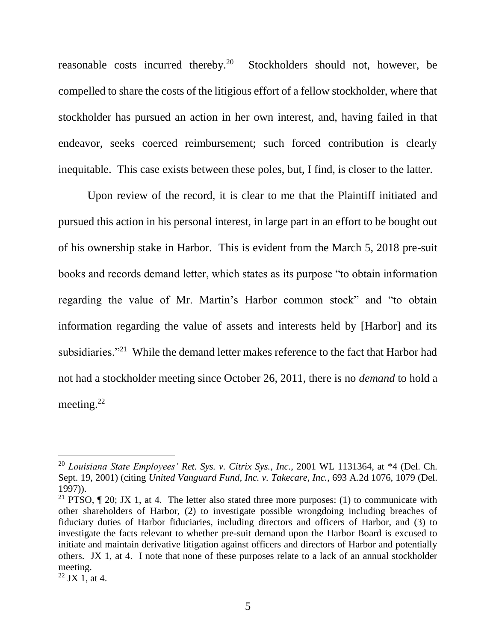reasonable costs incurred thereby.<sup>20</sup> Stockholders should not, however, be compelled to share the costs of the litigious effort of a fellow stockholder, where that stockholder has pursued an action in her own interest, and, having failed in that endeavor, seeks coerced reimbursement; such forced contribution is clearly inequitable. This case exists between these poles, but, I find, is closer to the latter.

Upon review of the record, it is clear to me that the Plaintiff initiated and pursued this action in his personal interest, in large part in an effort to be bought out of his ownership stake in Harbor. This is evident from the March 5, 2018 pre-suit books and records demand letter, which states as its purpose "to obtain information regarding the value of Mr. Martin's Harbor common stock" and "to obtain information regarding the value of assets and interests held by [Harbor] and its subsidiaries."<sup>21</sup> While the demand letter makes reference to the fact that Harbor had not had a stockholder meeting since October 26, 2011, there is no *demand* to hold a meeting. $22$ 

<sup>20</sup> *Louisiana State Employees' Ret. Sys. v. Citrix Sys., Inc.*, 2001 WL 1131364, at \*4 (Del. Ch. Sept. 19, 2001) (citing *United Vanguard Fund, Inc. v. Takecare, Inc.*, 693 A.2d 1076, 1079 (Del. 1997)).

<sup>&</sup>lt;sup>21</sup> PTSO,  $\P$  20; JX 1, at 4. The letter also stated three more purposes: (1) to communicate with other shareholders of Harbor, (2) to investigate possible wrongdoing including breaches of fiduciary duties of Harbor fiduciaries, including directors and officers of Harbor, and (3) to investigate the facts relevant to whether pre-suit demand upon the Harbor Board is excused to initiate and maintain derivative litigation against officers and directors of Harbor and potentially others. JX 1, at 4. I note that none of these purposes relate to a lack of an annual stockholder meeting.

 $^{22}$  JX 1, at 4.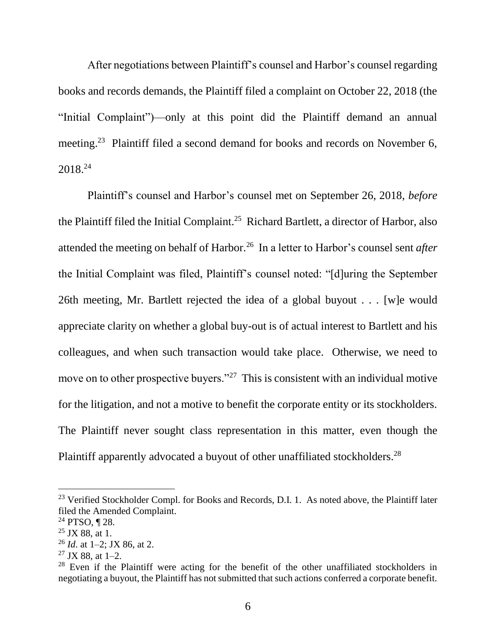After negotiations between Plaintiff's counsel and Harbor's counsel regarding books and records demands, the Plaintiff filed a complaint on October 22, 2018 (the "Initial Complaint")—only at this point did the Plaintiff demand an annual meeting.<sup>23</sup> Plaintiff filed a second demand for books and records on November 6, 2018.<sup>24</sup>

Plaintiff's counsel and Harbor's counsel met on September 26, 2018, *before*  the Plaintiff filed the Initial Complaint.<sup>25</sup> Richard Bartlett, a director of Harbor, also attended the meeting on behalf of Harbor.<sup>26</sup> In a letter to Harbor's counsel sent *after* the Initial Complaint was filed, Plaintiff's counsel noted: "[d]uring the September 26th meeting, Mr. Bartlett rejected the idea of a global buyout . . . [w]e would appreciate clarity on whether a global buy-out is of actual interest to Bartlett and his colleagues, and when such transaction would take place. Otherwise, we need to move on to other prospective buyers."<sup>27</sup> This is consistent with an individual motive for the litigation, and not a motive to benefit the corporate entity or its stockholders. The Plaintiff never sought class representation in this matter, even though the Plaintiff apparently advocated a buyout of other unaffiliated stockholders.<sup>28</sup>

<sup>&</sup>lt;sup>23</sup> Verified Stockholder Compl. for Books and Records, D.I. 1. As noted above, the Plaintiff later filed the Amended Complaint.

 $24$  PTSO, ¶ 28.

 $25$  JX 88, at 1.

<sup>26</sup> *Id*. at 1–2; JX 86, at 2.

 $27$  JX 88, at 1–2.

 $28$  Even if the Plaintiff were acting for the benefit of the other unaffiliated stockholders in negotiating a buyout, the Plaintiff has not submitted that such actions conferred a corporate benefit.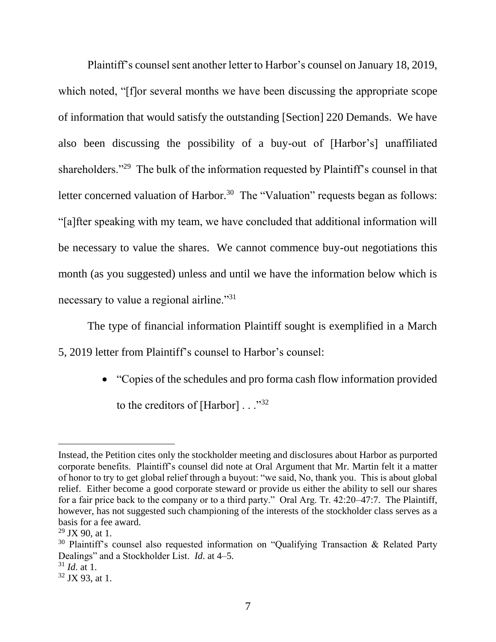Plaintiff's counsel sent another letter to Harbor's counsel on January 18, 2019, which noted, "[f]or several months we have been discussing the appropriate scope of information that would satisfy the outstanding [Section] 220 Demands. We have also been discussing the possibility of a buy-out of [Harbor's] unaffiliated shareholders."<sup>29</sup> The bulk of the information requested by Plaintiff's counsel in that letter concerned valuation of Harbor.<sup>30</sup> The "Valuation" requests began as follows: "[a]fter speaking with my team, we have concluded that additional information will be necessary to value the shares. We cannot commence buy-out negotiations this month (as you suggested) unless and until we have the information below which is necessary to value a regional airline."<sup>31</sup>

The type of financial information Plaintiff sought is exemplified in a March 5, 2019 letter from Plaintiff's counsel to Harbor's counsel:

> • "Copies of the schedules and pro forma cash flow information provided to the creditors of  $[Harbor] \dots$ <sup>32</sup>

Instead, the Petition cites only the stockholder meeting and disclosures about Harbor as purported corporate benefits. Plaintiff's counsel did note at Oral Argument that Mr. Martin felt it a matter of honor to try to get global relief through a buyout: "we said, No, thank you. This is about global relief. Either become a good corporate steward or provide us either the ability to sell our shares for a fair price back to the company or to a third party." Oral Arg. Tr. 42:20–47:7. The Plaintiff, however, has not suggested such championing of the interests of the stockholder class serves as a basis for a fee award.

 $29$  JX 90, at 1.

<sup>&</sup>lt;sup>30</sup> Plaintiff's counsel also requested information on "Qualifying Transaction & Related Party Dealings" and a Stockholder List. *Id*. at 4–5.

 $31$  *Id.* at 1.

 $32$  JX 93, at 1.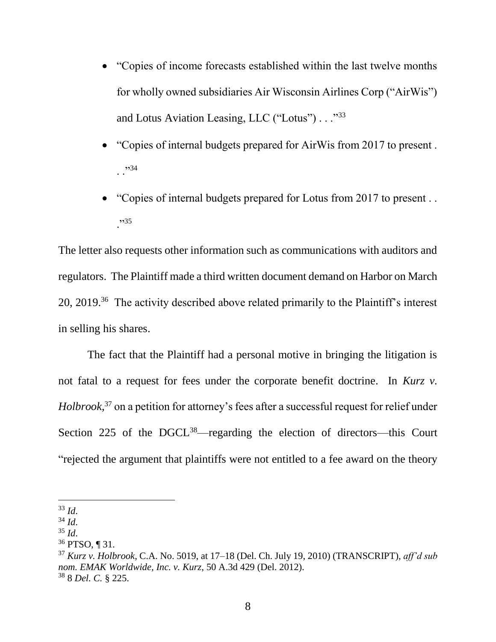- "Copies of income forecasts established within the last twelve months for wholly owned subsidiaries Air Wisconsin Airlines Corp ("AirWis") and Lotus Aviation Leasing, LLC ("Lotus") . . . "33
- "Copies of internal budgets prepared for AirWis from 2017 to present .  $.$ ;  $^{,34}$
- "Copies of internal budgets prepared for Lotus from 2017 to present... ."<sup>35</sup>

The letter also requests other information such as communications with auditors and regulators. The Plaintiff made a third written document demand on Harbor on March 20, 2019.<sup>36</sup> The activity described above related primarily to the Plaintiff's interest in selling his shares.

The fact that the Plaintiff had a personal motive in bringing the litigation is not fatal to a request for fees under the corporate benefit doctrine. In *Kurz v. Holbrook*, <sup>37</sup> on a petition for attorney's fees after a successful request for relief under Section 225 of the DGCL<sup>38</sup>—regarding the election of directors—this Court "rejected the argument that plaintiffs were not entitled to a fee award on the theory

<sup>33</sup> *Id*.

 $34$  *Id.* 

 $35$  *Id.* 

<sup>36</sup> PTSO, ¶ 31.

<sup>37</sup> *Kurz v. Holbrook*, C.A. No. 5019, at 17–18 (Del. Ch. July 19, 2010) (TRANSCRIPT), *aff'd sub nom. EMAK Worldwide, Inc. v. Kurz*, 50 A.3d 429 (Del. 2012). <sup>38</sup> 8 *Del. C.* § 225.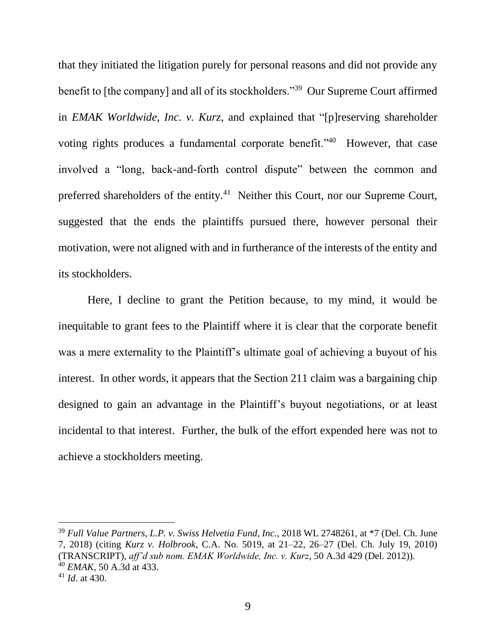that they initiated the litigation purely for personal reasons and did not provide any benefit to [the company] and all of its stockholders."<sup>39</sup> Our Supreme Court affirmed in *EMAK Worldwide, Inc. v. Kurz*, and explained that "[p]reserving shareholder voting rights produces a fundamental corporate benefit."<sup>40</sup> However, that case involved a "long, back-and-forth control dispute" between the common and preferred shareholders of the entity.<sup>41</sup> Neither this Court, nor our Supreme Court, suggested that the ends the plaintiffs pursued there, however personal their motivation, were not aligned with and in furtherance of the interests of the entity and its stockholders.

Here, I decline to grant the Petition because, to my mind, it would be inequitable to grant fees to the Plaintiff where it is clear that the corporate benefit was a mere externality to the Plaintiff's ultimate goal of achieving a buyout of his interest. In other words, it appears that the Section 211 claim was a bargaining chip designed to gain an advantage in the Plaintiff's buyout negotiations, or at least incidental to that interest. Further, the bulk of the effort expended here was not to achieve a stockholders meeting.

<sup>39</sup> *Full Value Partners, L.P. v. Swiss Helvetia Fund, Inc.*, 2018 WL 2748261, at \*7 (Del. Ch. June 7, 2018) (citing *Kurz v. Holbrook*, C.A. No. 5019, at 21–22, 26–27 (Del. Ch. July 19, 2010) (TRANSCRIPT), *aff'd sub nom. EMAK Worldwide, Inc. v. Kurz*, 50 A.3d 429 (Del. 2012)). <sup>40</sup> *EMAK*, 50 A.3d at 433.

<sup>41</sup> *Id*. at 430.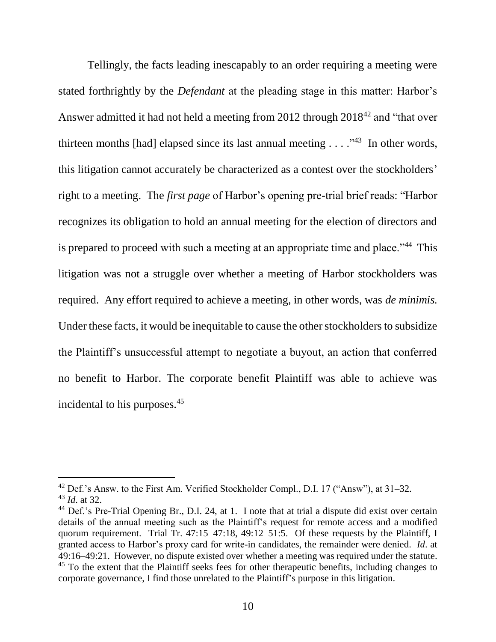Tellingly, the facts leading inescapably to an order requiring a meeting were stated forthrightly by the *Defendant* at the pleading stage in this matter: Harbor's Answer admitted it had not held a meeting from 2012 through 2018<sup>42</sup> and "that over thirteen months [had] elapsed since its last annual meeting  $\dots$   $\cdot$   $\cdot$  1n other words, this litigation cannot accurately be characterized as a contest over the stockholders' right to a meeting. The *first page* of Harbor's opening pre-trial brief reads: "Harbor recognizes its obligation to hold an annual meeting for the election of directors and is prepared to proceed with such a meeting at an appropriate time and place."<sup>44</sup> This litigation was not a struggle over whether a meeting of Harbor stockholders was required. Any effort required to achieve a meeting, in other words, was *de minimis.* Under these facts, it would be inequitable to cause the other stockholders to subsidize the Plaintiff's unsuccessful attempt to negotiate a buyout, an action that conferred no benefit to Harbor. The corporate benefit Plaintiff was able to achieve was incidental to his purposes.<sup>45</sup>

 $42$  Def.'s Answ. to the First Am. Verified Stockholder Compl., D.I. 17 ("Answ"), at  $31-32$ . <sup>43</sup> *Id*. at 32.

<sup>&</sup>lt;sup>44</sup> Def.'s Pre-Trial Opening Br., D.I. 24, at 1. I note that at trial a dispute did exist over certain details of the annual meeting such as the Plaintiff's request for remote access and a modified quorum requirement. Trial Tr. 47:15–47:18, 49:12–51:5. Of these requests by the Plaintiff, I granted access to Harbor's proxy card for write-in candidates, the remainder were denied. *Id*. at 49:16–49:21. However, no dispute existed over whether a meeting was required under the statute.  $45$  To the extent that the Plaintiff seeks fees for other therapeutic benefits, including changes to corporate governance, I find those unrelated to the Plaintiff's purpose in this litigation.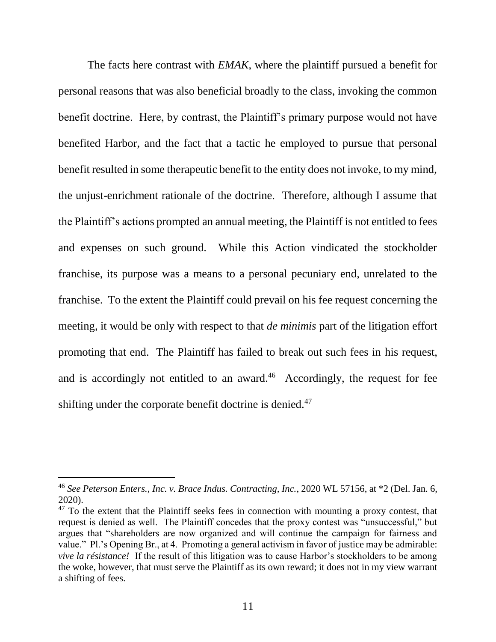The facts here contrast with *EMAK*, where the plaintiff pursued a benefit for personal reasons that was also beneficial broadly to the class, invoking the common benefit doctrine. Here, by contrast, the Plaintiff's primary purpose would not have benefited Harbor, and the fact that a tactic he employed to pursue that personal benefit resulted in some therapeutic benefit to the entity does not invoke, to my mind, the unjust-enrichment rationale of the doctrine. Therefore, although I assume that the Plaintiff's actions prompted an annual meeting, the Plaintiff is not entitled to fees and expenses on such ground. While this Action vindicated the stockholder franchise, its purpose was a means to a personal pecuniary end, unrelated to the franchise. To the extent the Plaintiff could prevail on his fee request concerning the meeting, it would be only with respect to that *de minimis* part of the litigation effort promoting that end. The Plaintiff has failed to break out such fees in his request, and is accordingly not entitled to an award. $46$  Accordingly, the request for fee shifting under the corporate benefit doctrine is denied.<sup>47</sup>

<sup>46</sup> *See Peterson Enters., Inc. v. Brace Indus. Contracting, Inc.*, 2020 WL 57156, at \*2 (Del. Jan. 6, 2020).

 $47$  To the extent that the Plaintiff seeks fees in connection with mounting a proxy contest, that request is denied as well. The Plaintiff concedes that the proxy contest was "unsuccessful," but argues that "shareholders are now organized and will continue the campaign for fairness and value." Pl.'s Opening Br., at 4. Promoting a general activism in favor of justice may be admirable: *vive la résistance!* If the result of this litigation was to cause Harbor's stockholders to be among the woke, however, that must serve the Plaintiff as its own reward; it does not in my view warrant a shifting of fees.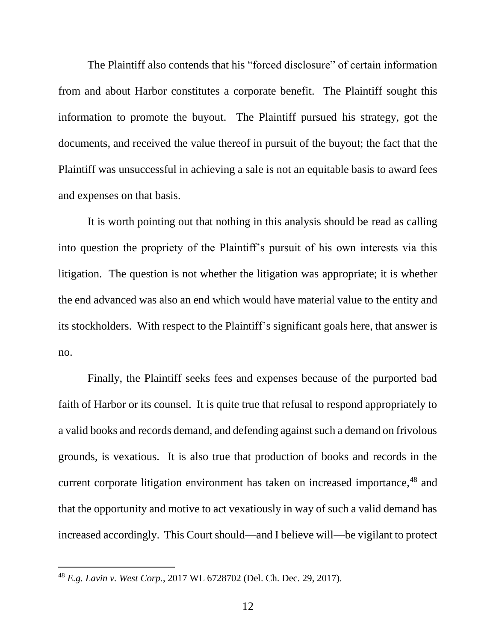The Plaintiff also contends that his "forced disclosure" of certain information from and about Harbor constitutes a corporate benefit. The Plaintiff sought this information to promote the buyout. The Plaintiff pursued his strategy, got the documents, and received the value thereof in pursuit of the buyout; the fact that the Plaintiff was unsuccessful in achieving a sale is not an equitable basis to award fees and expenses on that basis.

It is worth pointing out that nothing in this analysis should be read as calling into question the propriety of the Plaintiff's pursuit of his own interests via this litigation. The question is not whether the litigation was appropriate; it is whether the end advanced was also an end which would have material value to the entity and its stockholders. With respect to the Plaintiff's significant goals here, that answer is no.

Finally, the Plaintiff seeks fees and expenses because of the purported bad faith of Harbor or its counsel. It is quite true that refusal to respond appropriately to a valid books and records demand, and defending against such a demand on frivolous grounds, is vexatious. It is also true that production of books and records in the current corporate litigation environment has taken on increased importance,<sup>48</sup> and that the opportunity and motive to act vexatiously in way of such a valid demand has increased accordingly. This Court should—and I believe will—be vigilant to protect

<sup>48</sup> *E.g. Lavin v. West Corp.*, 2017 WL 6728702 (Del. Ch. Dec. 29, 2017).